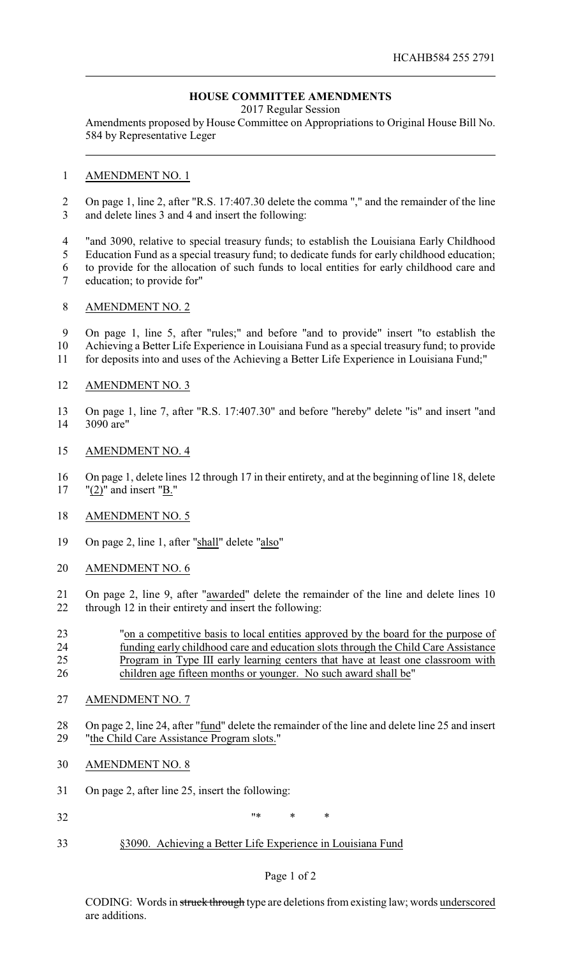# **HOUSE COMMITTEE AMENDMENTS**

2017 Regular Session

Amendments proposed by House Committee on Appropriations to Original House Bill No. 584 by Representative Leger

#### AMENDMENT NO. 1

- On page 1, line 2, after "R.S. 17:407.30 delete the comma "," and the remainder of the line and delete lines 3 and 4 and insert the following:
- "and 3090, relative to special treasury funds; to establish the Louisiana Early Childhood
- Education Fund as a special treasury fund; to dedicate funds for early childhood education;
- to provide for the allocation of such funds to local entities for early childhood care and
- education; to provide for"

### AMENDMENT NO. 2

 On page 1, line 5, after "rules;" and before "and to provide" insert "to establish the Achieving a Better Life Experience in Louisiana Fund as a special treasury fund; to provide

for deposits into and uses of the Achieving a Better Life Experience in Louisiana Fund;"

### AMENDMENT NO. 3

 On page 1, line 7, after "R.S. 17:407.30" and before "hereby" delete "is" and insert "and 3090 are"

#### AMENDMENT NO. 4

 On page 1, delete lines 12 through 17 in their entirety, and at the beginning of line 18, delete "(2)" and insert "B."

### AMENDMENT NO. 5

- On page 2, line 1, after "shall" delete "also"
- AMENDMENT NO. 6
- On page 2, line 9, after "awarded" delete the remainder of the line and delete lines 10 through 12 in their entirety and insert the following:
- "on a competitive basis to local entities approved by the board for the purpose of funding early childhood care and education slots through the Child Care Assistance Program in Type III early learning centers that have at least one classroom with 26 children age fifteen months or younger. No such award shall be"
- AMENDMENT NO. 7
- 28 On page 2, line 24, after "fund" delete the remainder of the line and delete line 25 and insert "the Child Care Assistance Program slots."
- AMENDMENT NO. 8
- On page 2, after line 25, insert the following:
- 32  $^{\prime\prime}$   $^{\prime\prime}$   $^{\prime\prime}$   $^{\prime\prime}$   $^{\prime\prime}$   $^{\prime\prime}$   $^{\prime\prime}$   $^{\prime\prime}$   $^{\prime\prime}$
- §3090. Achieving a Better Life Experience in Louisiana Fund

### Page 1 of 2

CODING: Words in struck through type are deletions from existing law; words underscored are additions.